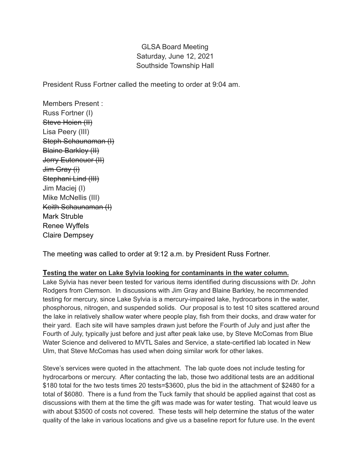## GLSA Board Meeting Saturday, June 12, 2021 Southside Township Hall

President Russ Fortner called the meeting to order at 9:04 am.

Members Present : Russ Fortner (I) Steve Hoien (II) Lisa Peery (III) Steph Schaunaman (I) Blaine Barkley (II) Jerry Euteneuer (II) Jim Gray (i) Stephani Lind (III) Jim Maciej (I) Mike McNellis (III) Keith Schaunaman (I) Mark Struble Renee Wyffels Claire Dempsey

The meeting was called to order at 9:12 a.m. by President Russ Fortner.

## **Testing the water on Lake Sylvia looking for contaminants in the water column.**

Lake Sylvia has never been tested for various items identified during discussions with Dr. John Rodgers from Clemson. In discussions with Jim Gray and Blaine Barkley, he recommended testing for mercury, since Lake Sylvia is a mercury-impaired lake, hydrocarbons in the water, phosphorous, nitrogen, and suspended solids. Our proposal is to test 10 sites scattered around the lake in relatively shallow water where people play, fish from their docks, and draw water for their yard. Each site will have samples drawn just before the Fourth of July and just after the Fourth of July, typically just before and just after peak lake use, by Steve McComas from Blue Water Science and delivered to MVTL Sales and Service, a state-certified lab located in New Ulm, that Steve McComas has used when doing similar work for other lakes.

Steve's services were quoted in the attachment. The lab quote does not include testing for hydrocarbons or mercury. After contacting the lab, those two additional tests are an additional \$180 total for the two tests times 20 tests=\$3600, plus the bid in the attachment of \$2480 for a total of \$6080. There is a fund from the Tuck family that should be applied against that cost as discussions with them at the time the gift was made was for water testing. That would leave us with about \$3500 of costs not covered. These tests will help determine the status of the water quality of the lake in various locations and give us a baseline report for future use. In the event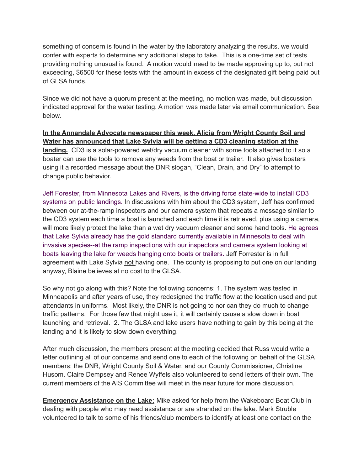something of concern is found in the water by the laboratory analyzing the results, we would confer with experts to determine any additional steps to take. This is a one-time set of tests providing nothing unusual is found. A motion would need to be made approving up to, but not exceeding, \$6500 for these tests with the amount in excess of the designated gift being paid out of GLSA funds.

Since we did not have a quorum present at the meeting, no motion was made, but discussion indicated approval for the water testing. A motion was made later via email communication. See below.

**In the Annandale Advocate newspaper this week, Alicia from Wright County Soil and Water has announced that Lake Sylvia will be getting a CD3 cleaning station at the landing.** CD3 is a solar-powered wet/dry vacuum cleaner with some tools attached to it so a boater can use the tools to remove any weeds from the boat or trailer. It also gives boaters using it a recorded message about the DNR slogan, "Clean, Drain, and Dry" to attempt to change public behavior.

Jeff Forester, from Minnesota Lakes and Rivers, is the driving force state-wide to install CD3 systems on public landings. In discussions with him about the CD3 system, Jeff has confirmed between our at-the-ramp inspectors and our camera system that repeats a message similar to the CD3 system each time a boat is launched and each time it is retrieved, plus using a camera, will more likely protect the lake than a wet dry vacuum cleaner and some hand tools. He agrees that Lake Sylvia already has the gold standard currently available in Minnesota to deal with invasive species--at the ramp inspections with our inspectors and camera system looking at boats leaving the lake for weeds hanging onto boats or trailers. Jeff Forrester is in full agreement with Lake Sylvia not having one. The county is proposing to put one on our landing anyway, Blaine believes at no cost to the GLSA.

So why not go along with this? Note the following concerns: 1. The system was tested in Minneapolis and after years of use, they redesigned the traffic flow at the location used and put attendants in uniforms. Most likely, the DNR is not going to nor can they do much to change traffic patterns. For those few that might use it, it will certainly cause a slow down in boat launching and retrieval. 2. The GLSA and lake users have nothing to gain by this being at the landing and it is likely to slow down everything.

After much discussion, the members present at the meeting decided that Russ would write a letter outlining all of our concerns and send one to each of the following on behalf of the GLSA members: the DNR, Wright County Soil & Water, and our County Commissioner, Christine Husom. Claire Dempsey and Renee Wyffels also volunteered to send letters of their own. The current members of the AIS Committee will meet in the near future for more discussion.

**Emergency Assistance on the Lake:** Mike asked for help from the Wakeboard Boat Club in dealing with people who may need assistance or are stranded on the lake. Mark Struble volunteered to talk to some of his friends/club members to identify at least one contact on the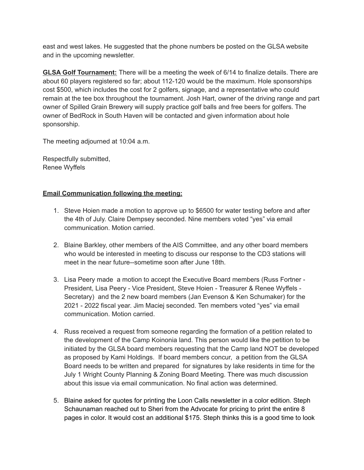east and west lakes. He suggested that the phone numbers be posted on the GLSA website and in the upcoming newsletter.

**GLSA Golf Tournament:** There will be a meeting the week of 6/14 to finalize details. There are about 60 players registered so far; about 112-120 would be the maximum. Hole sponsorships cost \$500, which includes the cost for 2 golfers, signage, and a representative who could remain at the tee box throughout the tournament. Josh Hart, owner of the driving range and part owner of Spilled Grain Brewery will supply practice golf balls and free beers for golfers. The owner of BedRock in South Haven will be contacted and given information about hole sponsorship.

The meeting adjourned at 10:04 a.m.

Respectfully submitted, Renee Wyffels

## **Email Communication following the meeting:**

- 1. Steve Hoien made a motion to approve up to \$6500 for water testing before and after the 4th of July. Claire Dempsey seconded. Nine members voted "yes" via email communication. Motion carried.
- 2. Blaine Barkley, other members of the AIS Committee, and any other board members who would be interested in meeting to discuss our response to the CD3 stations will meet in the near future--sometime soon after June 18th.
- 3. Lisa Peery made a motion to accept the Executive Board members (Russ Fortner President, Lisa Peery - Vice President, Steve Hoien - Treasurer & Renee Wyffels - Secretary) and the 2 new board members (Jan Evenson & Ken Schumaker) for the 2021 - 2022 fiscal year. Jim Maciej seconded. Ten members voted "yes" via email communication. Motion carried.
- 4. Russ received a request from someone regarding the formation of a petition related to the development of the Camp Koinonia land. This person would like the petition to be initiated by the GLSA board members requesting that the Camp land NOT be developed as proposed by Kami Holdings. If board members concur, a petition from the GLSA Board needs to be written and prepared for signatures by lake residents in time for the July 1 Wright County Planning & Zoning Board Meeting. There was much discussion about this issue via email communication. No final action was determined.
- 5. Blaine asked for quotes for printing the Loon Calls newsletter in a color edition. Steph Schaunaman reached out to Sheri from the Advocate for pricing to print the entire 8 pages in color. It would cost an additional \$175. Steph thinks this is a good time to look